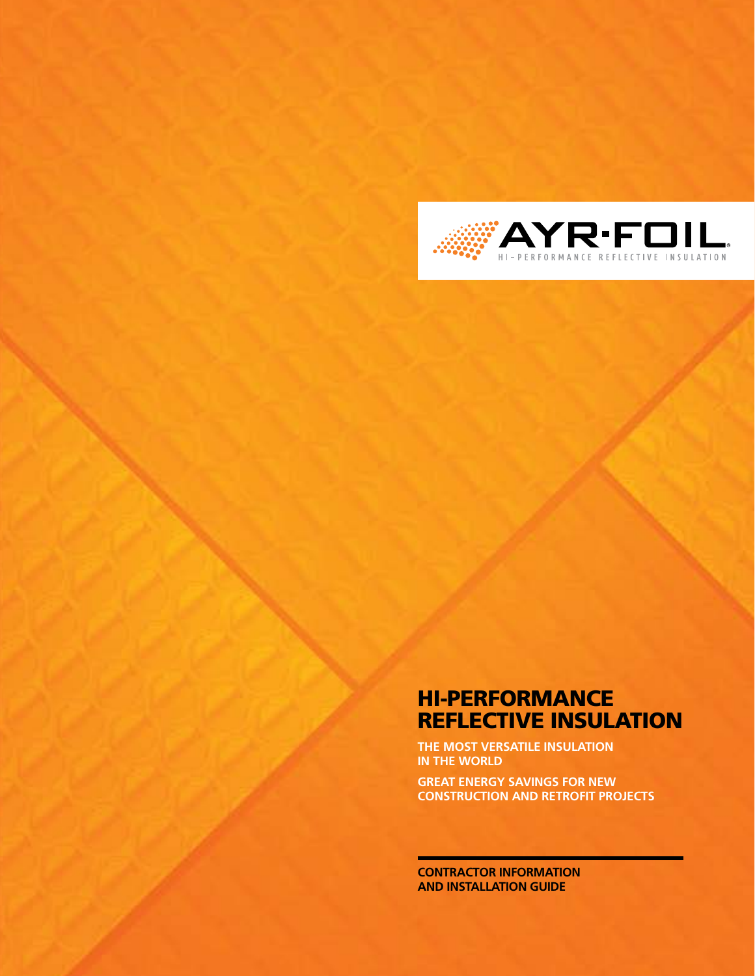

### HI-PERFORMANCE REFLECTIVE INSULATION

**The most versatile insulation in the world**

**Great energy savings for new construction and retrofit projects**

**CONTRACTOR INFORMATION AND INSTALLATION GUIDE**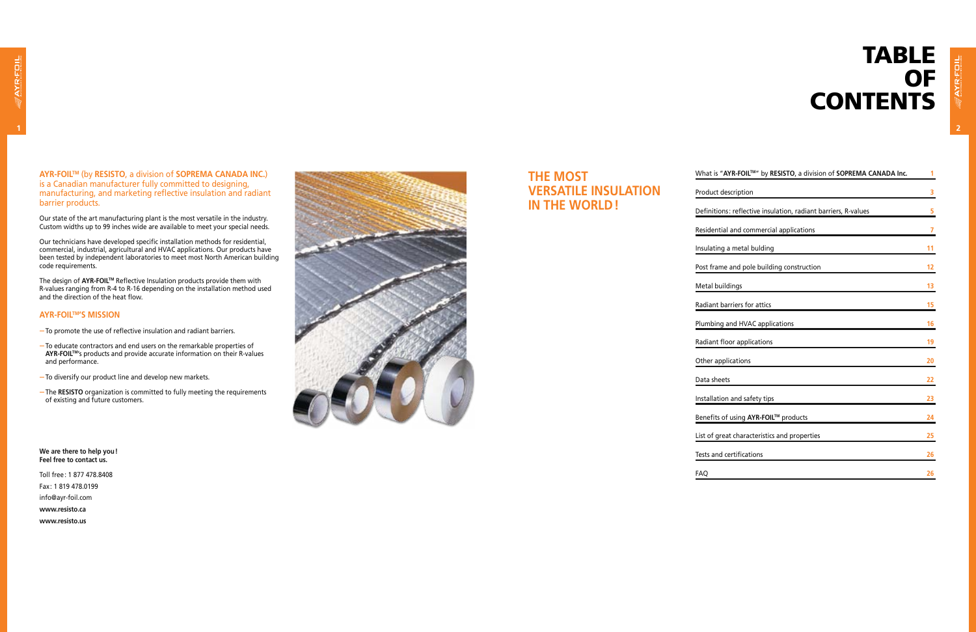# TABLE<br>OF **CONTENTS**

**AYR-FOILTM** (by **RESISTO**, a division of **SOPREMA CANADA INC.**) is a Canadian manufacturer fully committed to designing, manufacturing, and marketing reflective insulation and radiant barrier products.

Our state of the art manufacturing plant is the most versatile in the industry. Custom widths up to 99 inches wide are available to meet your special needs.

Our technicians have developed specific installation methods for residential, commercial, industrial, agricultural and HVAC applications. Our products have been tested by independent laboratories to meet most North American building code requirements.

The design of **AYR-FOILTM** Reflective Insulation products provide them with R-values ranging from R-4 to R-16 depending on the installation method used and the direction of the heat flow.

#### **AYR-FOILTM's mission**

- To promote the use of reflective insulation and radiant barriers.
- To educate contractors and end users on the remarkable properties of **AYR-FOILTM**'s products and provide accurate information on their R-values and performance.
- To diversify our product line and develop new markets.
- The **RESISTO** organization is committed to fully meeting the requirements of existing and future customers.

**We are there to help you! Feel free to contact us.**

Toll free: 1 877 478.8408 Fax: 1 819 478.0199 info@ayr-foil.com **www.resisto.ca www.resisto.us**



## **The most versatile insulation in the world !**

| Product description                                            | 3<br>5 |
|----------------------------------------------------------------|--------|
|                                                                |        |
| Definitions: reflective insulation, radiant barriers, R-values |        |
| Residential and commercial applications                        | 7      |
| Insulating a metal bulding                                     | 11     |
| Post frame and pole building construction                      | 12     |
| Metal buildings                                                | 13     |
| Radiant barriers for attics                                    | 15     |
| Plumbing and HVAC applications                                 | 16     |
| Radiant floor applications                                     | 19     |
| Other applications                                             | 20     |
| Data sheets                                                    | 22     |
| Installation and safety tips                                   | 23     |
| Benefits of using AYR-FOIL™ products                           | 24     |
| List of great characteristics and properties                   | 25     |
| Tests and certifications                                       | 26     |
| FAQ                                                            | 26     |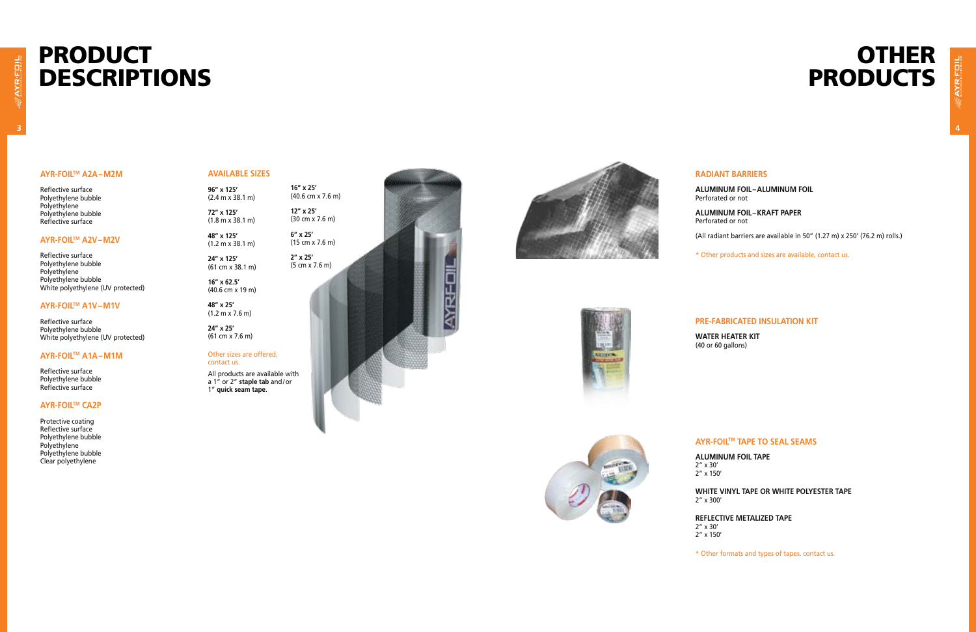#### **AYR-FOILTM A2A –M2M**

Reflective surface Polyethylene bubble Polyethylene Polyethylene bubble Reflective surface

#### **AYR-FOILTM A2V  –M2 V**

Reflective surface Polyethylene bubble Polyethylene Polyethylene bubble White polyethylene (UV protected)

#### **AYR-FOILTM A1V –M1V**

Reflective surface Polyethylene bubble White polyethylene (UV protected)

#### **AYR-FOILTM A1A–M1M**

Reflective surface Polyethylene bubble Reflective surface

(30 cm x 7.6 m) **WRFOI** 









#### **AYR-FOILTM CA2 P**

Protective coating Reflective surface Polyethylene bubble Polyethylene Polyethylene bubble Clear polyethylene

#### **Availa ble si zes**

**96" x 125'** (2.4 m x 38.1 m)

**72" x 125'** (1.8 m x 38.1 m)

**48" x 125'** (1.2 m x 38.1 m)

**24" x 125'** (61 cm x 38.1 m)

**16" x 62.5'** (40.6 cm x 19 m)

**48" x 25'** (1.2 m x 7.6 m)

**24" x 25'** (61 cm x 7.6 m) **16" x 25'** (40.6 cm x 7.6 m) **12" x 25'**

> **6" x 25'** (15 cm x 7.6 m)

**2" x 25'** (5 cm x 7.6 m)

Other sizes are offered,

contact us.

All products are available with a 1" or 2" **staple tab** and /or 1" **quick seam tape** .

#### **Radiant barriers**

**Aluminum foil – aluminum foil** Perforated or not

**Aluminum foil  – Kraft Pa per** Perforated or not

(All radiant barriers are available in 50" (1.27 m) x 250' (76.2 m) rolls.)

\* Other products and sizes are available, contact us.

#### **Pre -fa bricated insulation kit**

**Water heater kit** (40 or 60 gallons)

#### **AYR-FOILTM ta p e to seal seams**

**aluminum foil ta p e**

2" x 30' 2" x 150'

**White vin y l ta p e or white polyester ta p e**

2" x 300'

**Reflecti v e metali zed ta p e**

2" x 30' 2" x 150'

# **OTHER PRODUCTS**

\* Other formats and types of tapes. contact us.

# PRODUCT DESCRIPTIONS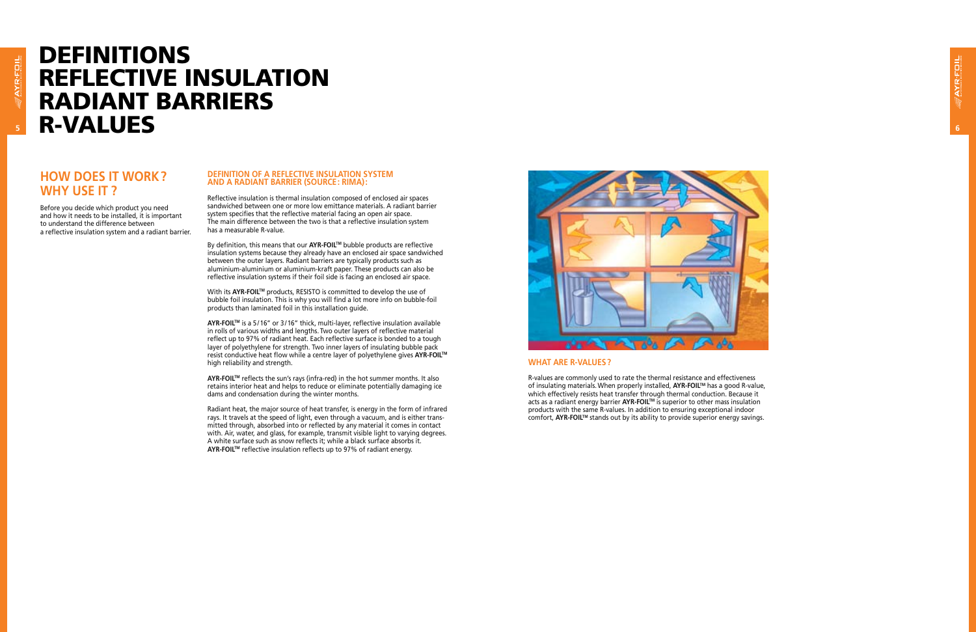

# Definitions Reflective Insulation Radiant Barriers R-Values

#### **How does it work  ? Why use it   ?**

Before you decide which product you need and how it needs to be installed, it is important to understand the difference between a reflective insulation system and a radiant barrier.

#### **Definition of a reflecti v e insulation s ystem and a radiant barrier (Source : RIMA) :**

Reflective insulation is thermal insulation composed of enclosed air spaces sandwiched between one or more low emittance materials. A radiant barrier system specifies that the reflective material facing an open air space. The main difference between the two is that a reflective insulation system has a measurable R-value.

By definition, this means that our **AYR-FOIL**™ bubble products are reflective insulation systems because they already have an enclosed air space sandwiched between the outer layers. Radiant barriers are typically products such as aluminium-aluminium or aluminium-kraft paper. These products can also be reflective insulation systems if their foil side is facing an enclosed air space.

**AYR-FOIL™** reflects the sun's rays (infra-red) in the hot summer months. It also retains interior heat and helps to reduce or eliminate potentially damaging ice dams and condensation during the winter months.

With its **AYR-FOILTM** products, RESISTO is committed to develop the use of bubble foil insulation. This is why you will find a lot more info on bubble-foil products than laminated foil in this installation guide.

> R-values are commonly used to rate the thermal resistance and effectiveness of insulating materials. When properly installed, **AYR-FOIL**™ has a good R-value, which effectively resists heat transfer through thermal conduction. Because it acts as a radiant energy barrier **AYR-FOILTM** is superior to other mass insulation products with the same R-values. In addition to ensuring exceptional indoor comfort, **AYR-FOIL™** stands out by its ability to provide superior energy savings.

**AYR-FOILTM** is a 5/16" or 3/16" thick, multi-layer, reflective insulation available in rolls of various widths and lengths. Two outer layers of reflective material reflect up to 97% of radiant heat. Each reflective surface is bonded to a tough layer of polyethylene for strength. Two inner layers of insulating bubble pack resist conductive heat flow while a centre layer of polyethylene gives **AYR-FOILTM** high reliability and strength.

Radiant heat, the major source of heat transfer, is energy in the form of infrared rays. It travels at the speed of light, even through a vacuum, and is either trans mitted through, absorbed into or reflected by any material it comes in contact with. Air, water, and glass, for example, transmit visible light to varying degrees. A white surface such as snow reflects it; while a black surface absorbs it. **AYR-FOILTM** reflective insulation reflects up to 97% of radiant energy.



#### **W hat are R-values  ?**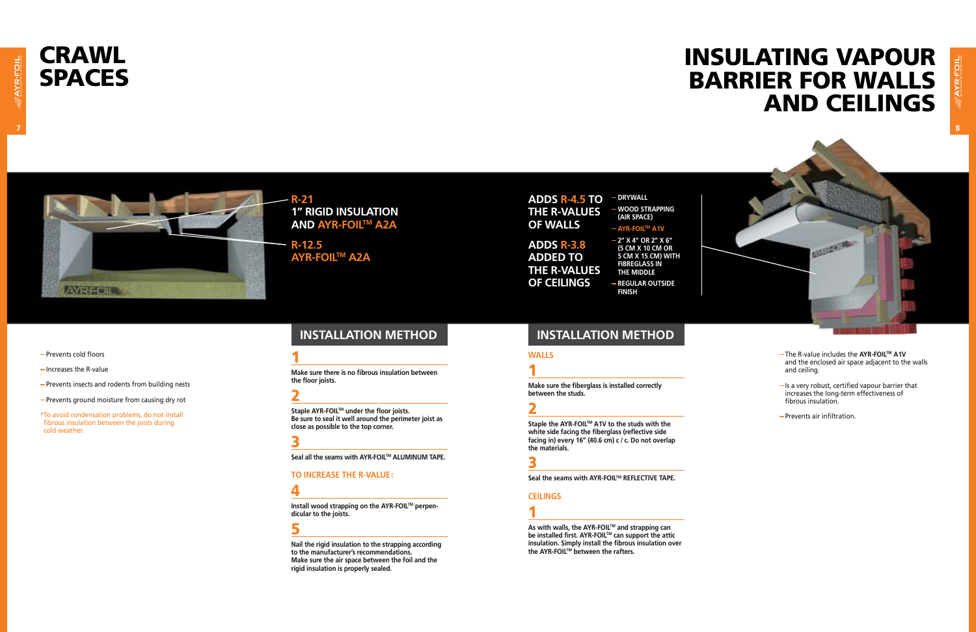# **CRAWL<br>SPACES**



\*To avoid condensation problems, do not install fibrous insulation between the joists during cold weather.

# Insulating vapour barrier for walls and ceilings



**R-21 1" rigid insulation and AYR-FOILTM A2A**

**Install wood strapping on the AYR-FOIL™ perpendicular to the joists.**

**R-12.5 AYR-FOILTM A2A**

#### 1

**Make sure there is no fibrous insulation between the floor joists.**

#### 2

- The R-value includes the **AYR-FOILTM A1V** and the enclosed air space adjacent to the walls and ceiling.
- $-$  Is a very robust, certified vapour barrier that increases the long-term effectiveness of fibrous insulation.
- Prevents air infiltration.

**Staple AYR-FOILTM under the floor joists. Be sure to seal it well around the perimeter joist as close as possible to the top corner.**

#### <u>3</u>

Seal all the seams with AYR-FOIL™ ALUMINUM TAPE.

#### **TO increase the R-value :**

#### 4

#### 5

Staple the AYR-FOIL<sup>™</sup> A1V to the studs with the **white side facing the fiberglass (reflective side facing in) every 16" (40.6 cm) c / c. Do not overlap the materials.**

**Nail the rigid insulation to the strapping according to the manufacturer's recommendations. Make sure the air space between the foil and the rigid insulation is properly sealed.**

As with walls, the AYR-FOIL™ and strapping can **be installed first. AYR-FOIL™ can support the attic insulation. Simply install the fibrous insulation over the AYR-FOILTM between the rafters.**

**of Ceilings**

#### **ADDS R-4.5 TO THE R-VALUES of walls ADDS R-3.8 ADDED TO THE R-VALUES**   $-$ **DRYWALL Wood strapping (air space) AYR-FOILTM A1V 2" x 4" or 2" x 6" (5 cm x 10 cm or**

**5 cm x 15 cm) with fibreglass in the middle**

**Regular outside finish**

- Prevents cold floors
- $-$  Increases the R-value
- Prevents insects and rodents from building nests
- Prevents ground moisture from causing dry rot

#### **Walls**

### 1

**Make sure the fiberglass is installed correctly between the studs.**

### 2

3

Seal the seams with AYR-FOIL<sup>™</sup> REFLECTIVE TAPE.

#### **Ceilings**

## 1

### **installation method installation method**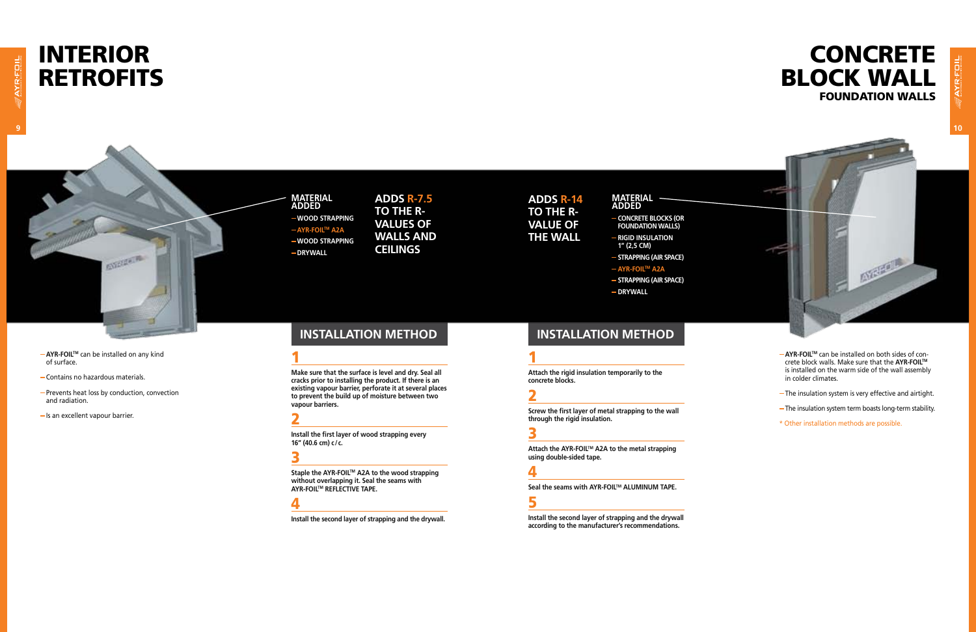# **INTERIOR<br>RETROFITS**

**MA added Wood strapping AYR-FOILTM A2A Wood strapping**  $-$ **DRYWALL** 







- **AYR-FOILTM** can be installed on both sides of concrete block walls. Make sure that the **AYR-FOILTM** is installed on the warm side of the wall assembly in colder climates.
- The insulation system is very effective and airtight.
- The insulation system term boasts long-term stability.
- \* Other installation methods are possible.

#### **AYR-FOILTM** can be installed on any kind of surface.

- Contains no hazardous materials.
- Prevents heat loss by conduction, convection and radiation.

**SYPHAIR** 

 $-Is$  an excellent vapour barrier.

**Adds R-7.5 To the Rvalues of walls and ceilings**

1

**Make sure that the surface is level and dry. Seal all cracks prior to installing the product. If there is an existing vapour barrier, perforate it at several places to prevent the build up of moisture between two vapour barriers.**

2

**Install the first layer of wood strapping every 16" (40.6 cm) c/c.**

### <u>3</u>

**Staple the AYR-FOILTM A2A to the wood strapping without overlapping it. Seal the seams with AYR-FOILTM REFLECTIVE TAPE.**

#### 4

**Install the second layer of strapping and the drywall.**

**Adds R-14 to the Rvalue of the wall**

#### **material added**

#### 1

**Attach the rigid insulation temporarily to the concrete blocks.**

## 2

**Screw the first layer of metal strapping to the wall through the rigid insulation.**

#### <u>3</u>

- **Concrete blocks (or foundation walls)**
- **Rigid insulation 1" (2,5 cm)**
- **Strapping (air space)**
- **AYR-FOILTM A2A**
- **Strapping (air space)**
- $-$ **DRYWALL**
- **installation method installation method**

**Attach the AYR-FOILTM A2A to the metal strapping using double-sided tape.**

#### 4

Seal the seams with AYR-FOIL<sup>™</sup> ALUMINUM TAPE.

## 5

**Install the second layer of strapping and the drywall according to the manufacturer's recommendations.**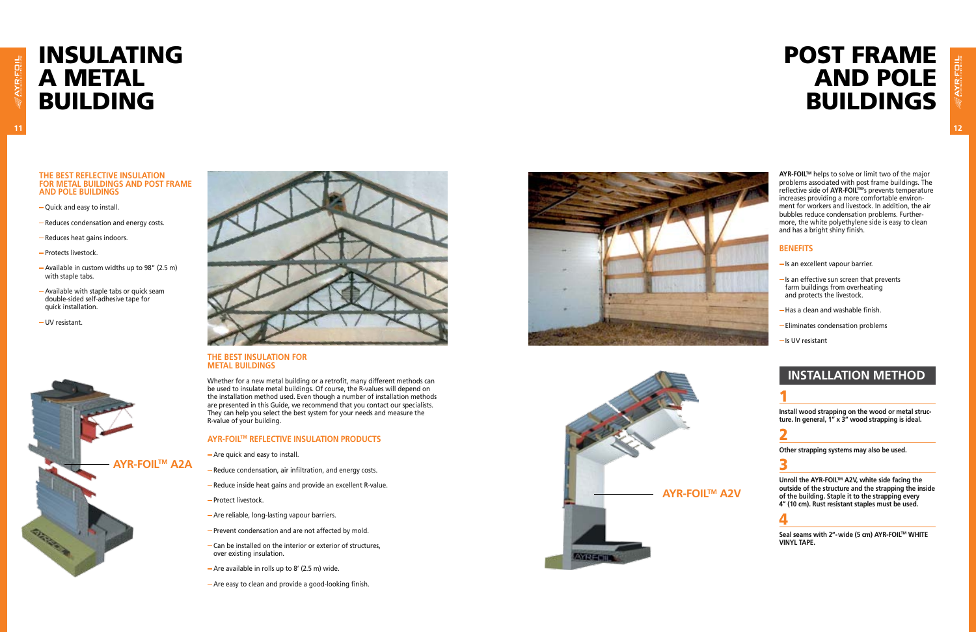

#### **THE BEST REFLECTIVE INSULATION FOR METAL BUILDINGS AND POST FRAME AND POLE BUILDINGS**

- Quick and easy to install.
- Reduces condensation and energy costs.
- Reduces heat gains indoors.
- Protects livestock.
- Available in custom widths up to 98" (2.5 m) with staple tabs.

- Available with staple tabs or quick seam double-sided self-adhesive tape for quick installation.
- UV resistant.



#### **Th e best insulation for metal buildings**

Whether for a new metal building or a retrofit, many different methods can be used to insulate metal buildings. Of course, the R-values will depend on the installation method used. Even though a number of installation methods are presented in this Guide, we recommend that you contact our specialists. They can help you select the best system for your needs and measure the R-value of your building.

#### **AYR-FOIL™ REFLECTIVE INSULATION PR**

- Are quick and easy to install.
- Reduce condensation, air infiltration, and energy costs.
- Reduce inside heat gains and provide an excellent R-value.
- Protect livestock.
- Are reliable, long-lasting vapour barriers.
- Prevent condensation and are not affected by mold.
- Can be installed on the interior or exterior of structures, over existing insulation.
- $-A$ re available in rolls up to 8' (2.5 m) wide.
- Are easy to clean and provide a good-looking finish.



Unroll the AYR-FOIL™ A2V, white side facing the **outside of the structure and the strapping the inside of the building. Staple it to the strapping every 4" (10 cm). Rust resistant staples must be used.** 

# Insulatin g **A METAL<br>BUILDING**

**AYR-FOILTM** helps to solve or limit two of the major problems associated with post frame buildings. The reflective side of **AYR-FOILTM**'s prevents temperature increases providing a more comfortable environ ment for workers and livestock. In addition, the air bubbles reduce condensation problems. Further more, the white polyethylene side is easy to clean and has a bright shiny finish.

#### **Benefits**

- $-$  Is an excellent vapour barrier.
- $-Is$  an effective sun screen that prevents farm buildings from overheating and protects the livestock.
- Has a clean and washable finish.
- Eliminates condensation problems
- Is UV resistant

### **installation metho**

## 1

**Install wood strapping on the wood or metal struc ture. In general, 1" x 3" wood strapping is ideal.**

#### 2

**Other strapping systems may also be used.**

#### <u>3</u>

#### 4

**Seal seams with 2"-wide (5 cm) AYR-FOILTM WHITE VINYL TAPE.**



# POST FRAME<br>AND POLE **BUILDINGS**

**AYR-FOILTM A2A**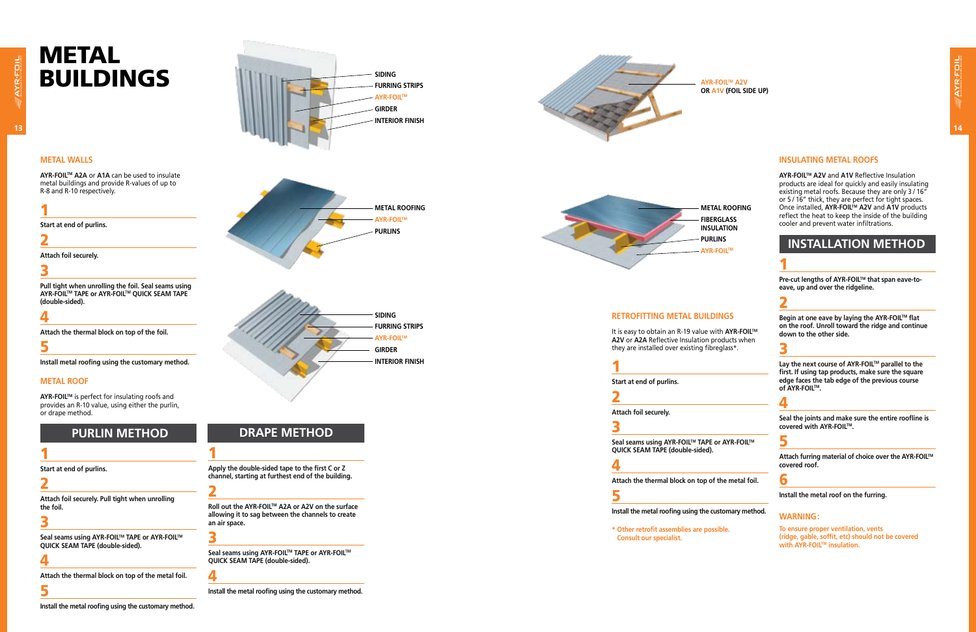#### **METAL walls**

**AYR-FOILTM A2A** or **A1A** can be used to insulate metal buildings and provide R-values of up to R-8 and R-10 respectively.

#### 1

**Pull tight when unrolling the foil. Seal seams using AYR-FOIL™ TAPE or AYR-FOIL™ QUICK SEAM TAPE (double-sided).**

**Start at end of purlins.** 

#### 2

**Attach foil securely.**

### <u>3</u>

#### 4

**Attach the thermal block on top of the foil.**

**Seal seams using AYR-FOIL™ TAPE or AYR-FOIL™ QUICK SEAM TA PE (double-sided).**

#### 5

**Install metal roofing using the customary method.**

#### **METAL roof**

**AYR-FOILTM** is perfect for insulating roofs and provides an R-10 value, using either the purlin, or drape method.

### **PURLIN METHO**

### 1

**Start at end of purlins.** 

**Seal seams using AYR-FOIL™ TAPE or AYR-FOIL™ QUICK SEAM TA PE (double-sided).**

#### 2

**Attach foil securely. Pull tight when unrolling the foil.**

#### 3

#### 4

**Attach the thermal block on top of the metal foil.**

#### 5

**Install the metal roofing using the customary method.**

#### **Retrofitting METAL buildings**

Pre-cut lengths of AYR-FOIL™ that span eave-to**eave, up and over the ridgeline.**

It is easy to obtain an R-19 value with **AYR-FOILTM A2 V** or **A2A** Reflective Insulation products when they are installed over existing fibreglass\*.

**Begin at one eave by laying the AYR-FOIL™ flat on the roof. Unroll toward the ridge and continue down to the other side.**

#### <u>3</u>

1

**Start at end of purlins.** 

2

Lay the next course of AYR-FOIL<sup>™</sup> parallel to the **first. If using tap products, make sure the square edge faces the tab edge of the previous course of AYR-FOILTM .**

**Attach foil securely.**

#### 3

**To ensure proper ventilation, vents (ridge, gable, soffit, etc) should not be covered with AYR-FOIL™ insulation.** 

#### 4

**Attach the thermal block on top of the metal foil.**

#### 5

**Install the metal roofing using the customary method.**





**\* Other retrofit assemblies are possible. Consult our specialist.**

#### **Insulating METAL roofs**

**Roll out the AYR-FOIL™ A2A or A2V on the surface allowing it to sag between the channels to create an air space.**

**AYR-FOILTM A2V** and **A1V** Reflective Insulation products are ideal for quickly and easily insulating existing metal roofs. Because they are only 3 / 16" or 5 / 16" thick, they are perfect for tight spaces. **Once installed, AYR-FOIL™ A2V and A1V products** reflect the heat to keep the inside of the building cooler and prevent water infiltrations.

#### **installation metho**

#### 1

### 2

### 4

**Seal the joints and make sure the entire roofline is covered with AYR-FOILTM .**

**Attach furring material of choice over the AYR-FOILTM**

**covered roof.**

#### 6

**Install the metal roof on the furring.**

#### **WARNING:**





### **DRAPE METHO**

## **metal roofing insulation**

<u>5</u>

## **fi berglass purlins ayr-foilTM**

1

**Apply the double-sided tape to the first C or Z channel, starting at furthest end of the building.**

#### 2

3

**Seal seams using AYR-FOILTM TA PE or AYR-FOILTM QUICK SEAM TA PE (double-sided).**

## 4

**Install the metal roofing using the customary method.**

**AYR-FOILTM A2 V or A1 V (foil side up)**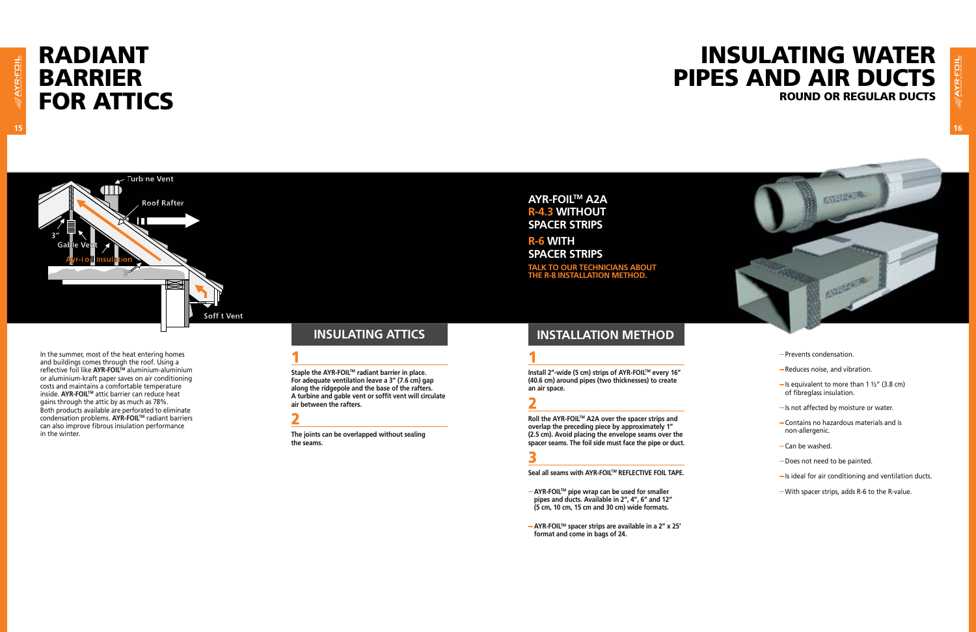## Radiant **BARRIER FOR ATTICS**



## Insulating water pipes and air ducts round or regular ducts



In the summer, most of the heat entering homes and buildings comes through the roof. Using a reflective foil like **AYR-FOILTM** aluminium-aluminium or aluminium-kraft paper saves on air conditioning costs and maintains a comfortable temperature inside. **AYR-FOILTM** attic barrier can reduce heat gains through the attic by as much as 78%. Both products available are perforated to eliminate condensation problems. **AYR-FOILTM** radiant barriers can also improve fibrous insulation performance in the winter.

Staple the AYR-FOIL™ radiant barrier in place. **For adequate ventilation leave a 3" (7.6 cm) gap along the ridgepole and the base of the rafters. A turbine and gable vent or soffit vent will circulate air between the rafters.**

#### 1

- Prevents condensation.
- Reduces noise, and vibration.
- $-$  Is equivalent to more than 1  $\frac{1}{2}$ " (3.8 cm) of fibreglass insulation.
- Is not affected by moisture or water.
- Contains no hazardous materials and is non-allergenic.
- Can be washed.
- Does not need to be painted.
- $-$  Is ideal for air conditioning and ventilation ducts.
- With spacer strips, adds R-6 to the R-value.

**TALK TO OUR TECHNICIANS ABC the R-8 installation method.**

**Install 2″-wide (5 cm) strips of AYR-FOIL™ every 16″ (40.6 cm) around pipes (two thicknesses) to create an air space.**

#### 2

**The joints can be overlapped without sealing the seams.**

#### **AYR-FOILTM A2A R-4.3 without spacer strips**

**R-6 with spacer strips**

#### 1

#### 2

**Roll the AYR-FOILTM A2A over the spacer strips and overlap the preceding piece by approximately 1" (2.5 cm). Avoid placing the envelope seams over the spacer seams. The foil side must face the pipe or duct.**

#### <u>3</u>

**Seal all seams with AYR-FOILTM REFLECTIVE FOIL TAPE.**

- **AYR-FOILTM pipe wrap can be used for smaller pipes and ducts. Available in 2", 4", 6" and 12" (5 cm, 10 cm, 15 cm and 30 cm) wide formats.**
- **AYR-FOILTM spacer strips are available in a 2" x 25' format and come in bags of 24.**

#### **Insulating attics installation method**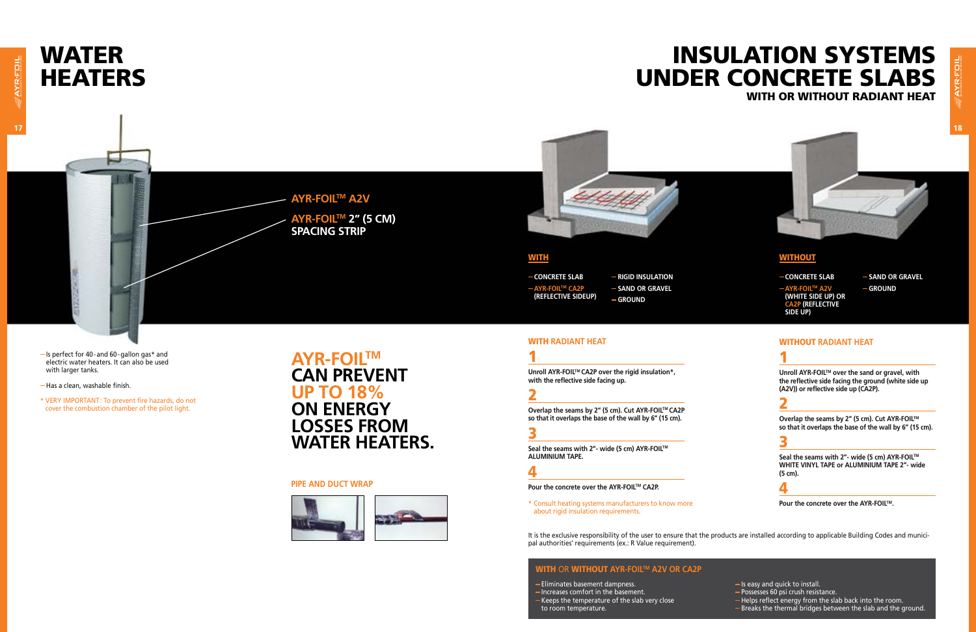# **WATER<br>HEATERS**

## Insulation systems under concrete slabs WITH OR WITHOUT RADIANT HEAT

- Is perfect for 40-and 60-gallon gas\* and electric water heaters. It can also be used with larger tanks.
- -Has a clean, washable finish.
- \* VERY IMPORTANT: To prevent fire hazards, do not cover the combustion chamber of the pilot light.

**AYR-FOILTM A2V AYR-FOILTM 2" (5 cm)**

**spacing strip**

#### **WITH**

Overlap the seams by 2" (5 cm). Cut AYR-FOIL<sup>™</sup> **so that it overlaps the base of the wall by 6" (15 cm).**

#### <u>3</u>

#### **Pipe and duct wrap**



Seal the seams with 2"- wide (5 cm) AYR-FOIL<sup>™</sup> **WHITE VINYL TAPE or ALUMINIUM TAPE 2"- wide (5 cm).**

**AYR-FOILTM can prevent up to 18% on energy losses from water heaters.**

#### WITHOUT **radiant HEAT**

### 1

**Unroll AYR-FOILTM over the sand or gravel, with the reflective side facing the ground (white side up (A2V)) or reflective side up (CA2P).**

## 2

 $-$ **CONCRETE SLAB AYR-FOILTM CA2P (rEflective SIDEUP)**

- $-$  Is easy and quick to install.
- Possesses 60 psi crush resistance.
- Helps reflect energy from the slab back into the room.
- Breaks the thermal bridges between the slab and the ground.

## 4

**Pour the concrete over the AYR-FOILTM.**

#### WITH **radiant HEAT**

1

**- RIGID INSULATION**  $-SAND$  **OR GRAVEL Ground**

 $-$  **SAND OR GRAVEL Ground**

**Unroll AYR-FOILTM CA2P over the rigid insulation\*, with the reflective side facing up.**

#### 2

**Overlap the seams by 2" (5 cm). Cut AYR-FOILTM CA2P so that it overlaps the base of the wall by 6" (15 cm).**

#### <u>3</u>

**Seal the seams with 2"- wide (5 cm) AYR-FOILTM ALUMINIUM TAPE.**

#### 4

Pour the concrete over the AYR-FOIL<sup>™</sup> CA2P.

**AYR-FOILTM A2V (White side up) or CA2P (reflective side up)**

- Eliminates basement dampness.
- -Increases comfort in the basement.
- Keeps the temperature of the slab very close to room temperature.

\* Consult heating systems manufacturers to know more about rigid insulation requirements.

#### with or without **AYR-FOILtm A2V or CA2P**



#### **WITHOUT**

 $-$  **CONCRETE** SLAB

It is the exclusive responsibility of the user to ensure that the products are installed according to applicable Building Codes and municipal authorities' requirements (ex.: R Value requirement).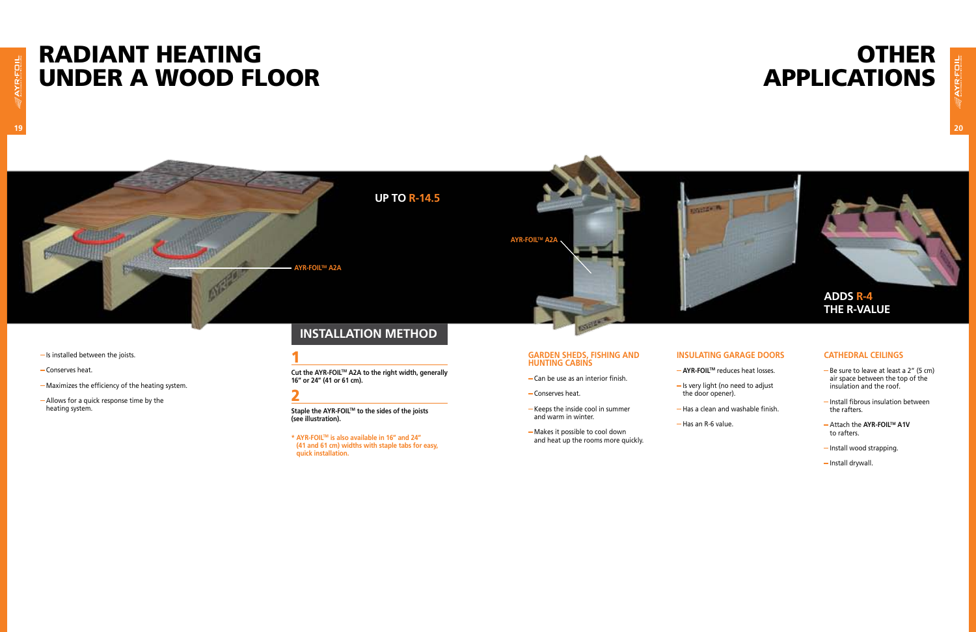# Radiant heating under a wood floor

# **OTHER<br>APPLICATIONS** applications

## **Up to R-14.5**

- $-Is$  installed between the joists.
- Conserves heat.
- Maximizes the efficiency of the heating system.
- Allows for a quick response time by the heating system.

#### 1

**Cut the AYR-FOILTM A2A to the right width, generally 16" or 24" (41 or 61 cm).**

#### 2

**Staple the AYR-FOILTM to the sides of the joists (see illustration).**

- Keeps the inside cool in summer and warm in winter.
- Makes it possible to cool down and heat up the rooms more quickly.
- **AYR-FOILTM** reduces heat losses.
- Is very light (no need to adjust
- Has a clean and washable finish.
	-
- 
- 
- the door opener).
- - $-H$ as an R-6 value.

**\* AYR-FOILTM is also available in 16" and 24" (41 and 61 cm) widths with staple tabs for easy, quick installation.**

- Be sure to leave at least a 2" (5 cm) air space between the top of the insulation and the roof.
- $-$  Install fibrous insulation between the rafters.
- Attach the **AYR-FOILTM A1V** to rafters.
- Install wood strapping.
- Install drywall.

#### **installation method**

#### **Garden sheds, fishing and hunting cabins**

- Can be use as an interior finish.
- Conserves heat.

#### **Insulating garage doors**

#### **Cathedral ceilings**



**AYR-FOILTM A2A**

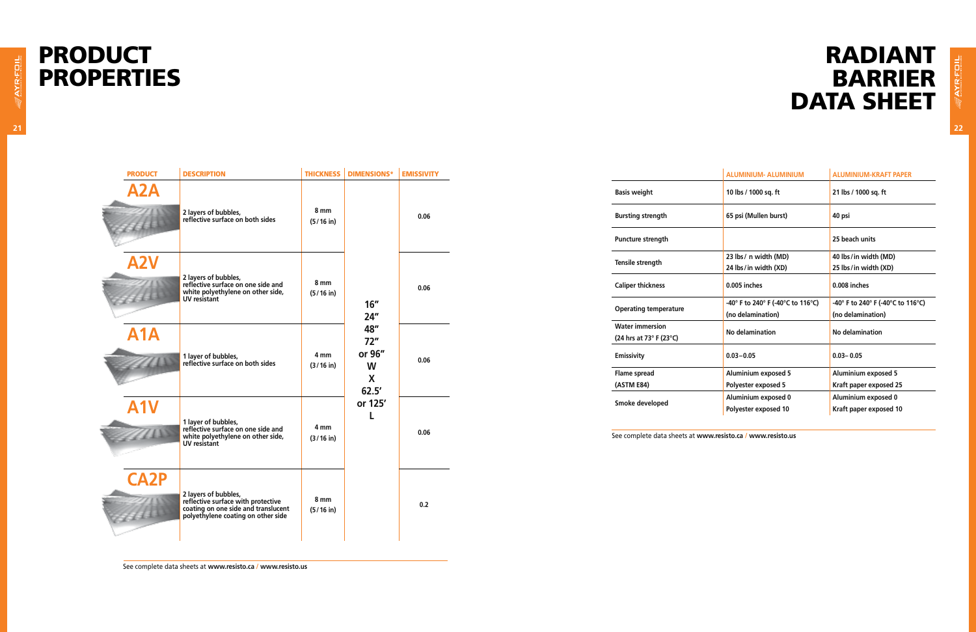| <b>ALUMINIUM- ALUMINIUM</b>       | <b>ALUMINIUM-KRAFT PAPER</b>      |
|-----------------------------------|-----------------------------------|
| 10 lbs / 1000 sq. ft              | 21 lbs / 1000 sq. ft              |
| 65 psi (Mullen burst)             | 40 psi                            |
|                                   | 25 beach units                    |
| 23 lbs/ n width (MD)              | 40 lbs/in width (MD)              |
| 24 lbs/in width (XD)              | 25 lbs/in width (XD)              |
| 0.005 inches                      | 0.008 inches                      |
| -40° F to 240° F (-40°C to 116°C) | -40° F to 240° F (-40°C to 116°C) |
| (no delamination)                 | (no delamination)                 |
| No delamination                   | No delamination                   |
| $0.03 - 0.05$                     | $0.03 - 0.05$                     |
| <b>Aluminium exposed 5</b>        | <b>Aluminium exposed 5</b>        |
| Polyester exposed 5               | Kraft paper exposed 25            |
| Aluminium exposed 0               | Aluminium exposed 0               |
| Polyester exposed 10              | Kraft paper exposed 10            |
|                                   |                                   |

# Radiant **BARRIER** DATA SHEET

# PRODUCT PROPERTIES

**Basis weight Bursting strength Puncture strength Tensile strength 23 lbs/ n width (MD) 24 lbs/in width (XD) Caliper thickness 0.005 inches 0.008 inches Operating temperature (no delamination) Water immersion (24 hrs at 73° F (23°C) Emissivity 0.03–0.05 0.03– 0.05 Flame spread (ASTM E84) Aluminium exposed 5 Polyester exposed 5 Smoke developed Polyester exposed 10** See complete data sheets at **www.resisto.ca / www.resisto.us** PRODUCT DESCRIPTION THICKNESS DIMENSIONS\* EMISSIVITY **A2A 2 layers of bubbles, reflective surface on both sides 8 mm (5/16 in) 16" 24" 48" 72" or 96" W X 62.5' or 125' L 0.06 A2V 2 layers of bubbles, reflective surface on one side and white polyethylene on other side, UV resistant 8 mm (5/16 in) 0.06 A1A 1 layer of bubbles, reflective surface on both sides 4 mm (3/16 in) 0.06 A1V 1 layer of bubbles, reflective surface on one side and white polyethylene on other side, UV resistant 4 mm (3/16 in) 0.06 CA2P 2 layers of bubbles, reflective surface with protective coating on one side and translucent polyethylene coating on other side 8 mm (5/16 in) 0.2**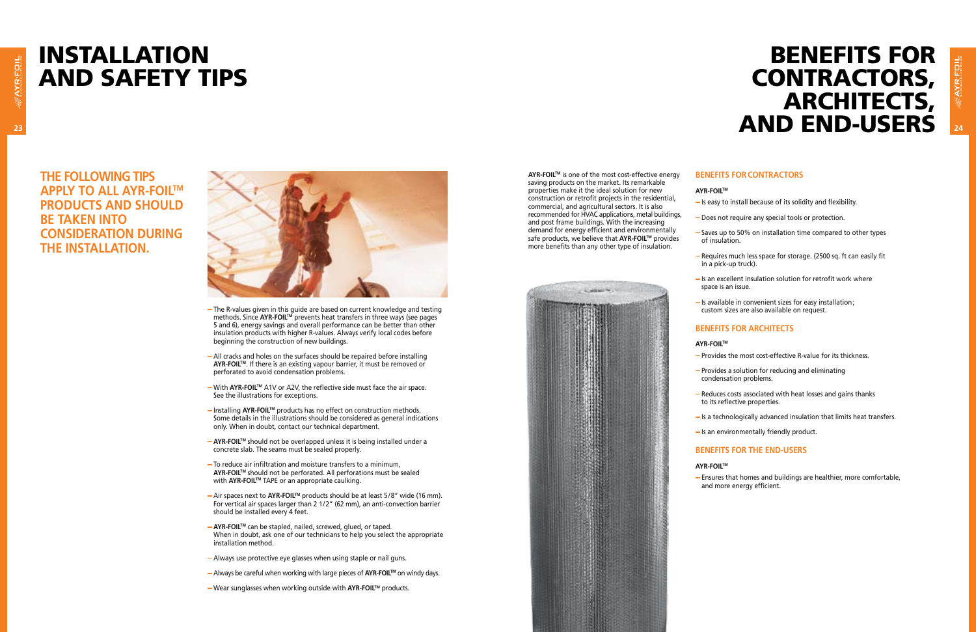**The following TIPs apply to all AYR-FOILTM products and should be taken into consideration during the installation.**



- The R-values given in this guide are based on current knowledge and testing methods. Since **AYR-FOIL<sup>TM</sup>** prevents heat transfers in three ways (see pages 5 and 6), energy savings and overall performance can be better than other insulation products with higher R-values. Always verify local codes before beginning the construction of new buildings.
- All cracks and holes on the surfaces should be repaired before installing **AYR-FOIL™.** If there is an existing vapour barrier, it must be removed or perforated to avoid condensation problems.
- With **AYR-FOILTM** A1V or A2V, the reflective side must face the air space. See the illustrations for exceptions.
- **−Installing AYR-FOIL<sup>™</sup> products has no effect on construction methods.** Some details in the illustrations should be considered as general indications only. When in doubt, contact our technical department.
- **AYR-FOIL™** should not be overlapped unless it is being installed under a concrete slab. The seams must be sealed properly.
- To reduce air infiltration and moisture transfers to a minimum, **AYR-FOILTM** should not be perforated. All perforations must be sealed with **AYR-FOIL™** TAPE or an appropriate caulking.
- Air spaces next to **AYR-FOILTM** products should be at least 5/8" wide (16 mm). For vertical air spaces larger than 2 1/2" (62 mm), an anti-convection barrier should be installed every 4 feet.
- **AYR-FOILTM** can be stapled, nailed, screwed, glued, or taped. When in doubt, ask one of our technicians to help you select the appropriate installation method.
- Always use protective eye glasses when using staple or nail guns.
- Always be careful when working with large pieces of **AYR-FOILTM** on windy days.
- $-$ Wear sunglasses when working outside with **AYR-FOIL™** products.

# INSTALLATION and SAFETY TIPS

# **23 24** and end-users Benefits for **CONTRACTORS,** architects,

- $-$  Is an excellent insulation solution for retrofit work where space is an issue.
- $-$  Is available in convenient sizes for easy installation; custom sizes are also available on request.

- Provides the most cost-effective R-value for its thickness.
- Provides a solution for reducing and eliminating condensation problems.
- Reduces costs associated with heat losses and gains thanks to its reflective properties.
- $-Is$  an environmentally friendly product.
- 
- 
- 
- 
- $-$  Is a technologically advanced insulation that limits heat transfers.
- 
- 
- **AYR-FOILTM**
- 

**AYR-FOILTM** is one of the most cost-effective energy saving products on the market. Its remarkable properties make it the ideal solution for new construction or retrofit projects in the residential, commercial, and agricultural sectors. It is also recommended for HVAC applications, metal buildings, and post frame buildings. With the increasing demand for energy efficient and environmentally safe products, we believe that **AYR-FOIL™** provides more benefits than any other type of insulation.



#### **Benefits for contractors**

- **AYR-FOILTM**
- $-$  Is easy to install because of its solidity and flexibility.
- Does not require any special tools or protection.
- Saves up to 50% on installation time compared to other types of insulation.
- Requires much less space for storage. (2500 sq. ft can easily fit in a pick-up truck).
- 

#### **Benefits for architects**

#### **AYR-FOILTM**

#### **Benefits for the end-users**

Ensures that homes and buildings are healthier, more comfortable, and more energy efficient.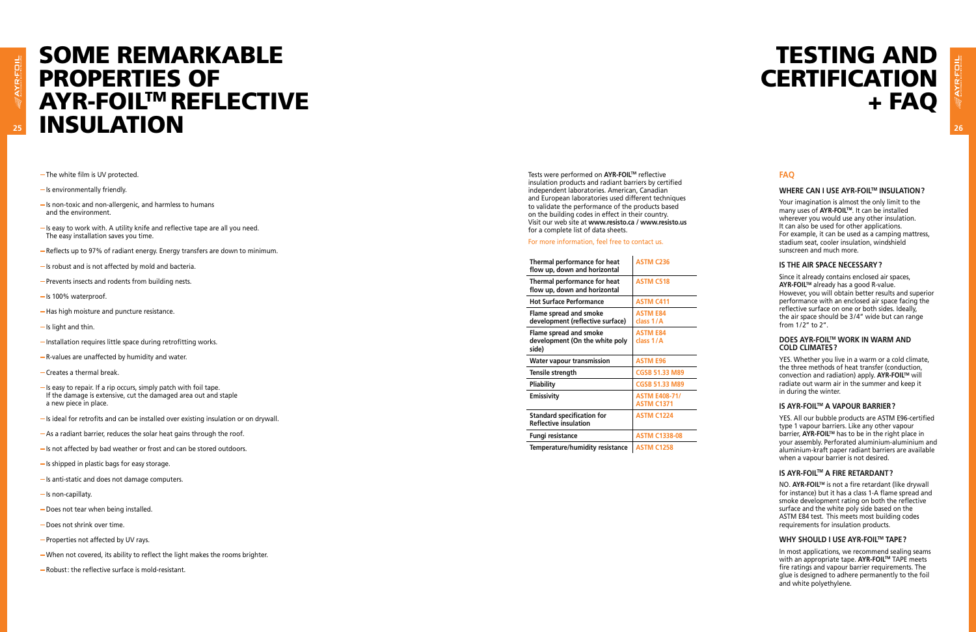## *25* **<b>INSULATION** 26 SOME REMARKAB a **PROPERTIES OF<br>AYR-FOIL™ REFLECTIVE**

- The white film is UV protected.
- $-Is$  environmentally friendly.
- $-Is$  non-toxic and non-allergenic, and harmless to humans and the environment.
- $-$  Is easy to work with. A utility knife and reflective tape are all you need. The easy installation saves you time.
- Reflects up to 97% of radiant energy. Energy transfers are down to minimum.
- $-$  Is robust and is not affected by mold and bacteria.
- Prevents insects and rodents from building nests.
- $-$  Is 100% waterproof.
- Has high moisture and puncture resistance.
- $-Is$  light and thin.
- Installation requires little space during retrofitting works.
- R-values are unaffected by humidity and water.
- Creates a thermal break.
- $-$  Is easy to repair. If a rip occurs, simply patch with foil tape. If the damage is extensive, cut the damaged area out and staple a new piece in place.
- Is ideal for retrofits and can be installed over existing insulation or on drywall.
- As a radiant barrier, reduces the solar heat gains through the roof.
- $-$  Is not affected by bad weather or frost and can be stored outdoors.
- Is shipped in plastic bags for easy storage.
- Is anti-static and does not damage computers.
- $-Is$  non-capillaty.
- Does not tear when being installed.
- Does not shrink over time.
- Properties not affected by UV rays.
- When not covered, its ability to reflect the light makes the rooms brighter.
- Robust: the reflective surface is mold-resistant.

| Thermal performance for heat<br>flow up, down and horizontal      | <b>ASTM C236</b>                          |
|-------------------------------------------------------------------|-------------------------------------------|
| Thermal performance for heat<br>flow up, down and horizontal      | <b>ASTM C518</b>                          |
| <b>Hot Surface Performance</b>                                    | <b>ASTM C411</b>                          |
| Flame spread and smoke<br>development (reflective surface)        | <b>ASTM E84</b><br>class 1/A              |
| Flame spread and smoke<br>development (On the white poly<br>side) | <b>ASTM E84</b><br>class 1/A              |
| <b>Water vapour transmission</b>                                  | <b>ASTM E96</b>                           |
| Tensile strength                                                  | <b>CGSB 51.33 M89</b>                     |
| Pliability                                                        | <b>CGSB 51.33 M89</b>                     |
| Emissivity                                                        | <b>ASTM E408-71/</b><br><b>ASTM C1371</b> |
| <b>Standard specification for</b><br><b>Reflective insulation</b> | <b>ASTM C1224</b>                         |
| Fungi resistance                                                  | <b>ASTM C1338-08</b>                      |
| Tomporaturo/humidity rocictonco                                   | ACTMA C10EO                               |

**Temperature/humidity resistance | ASTM C1258** 

NO. **AYR-FOIL™** is not a fire retardant (like drywall for instance) but it has a class 1-A flame spread and smoke development rating on both the reflective surface and the white poly side based on the ASTM E84 test. This meets most building codes requirements for insulation products.

#### **FAQ**

# **TESTING AND<br>CERTIFICATION** + FAQ

#### **Where can I use AYR-FOILTM insulation  ?**

Your imagination is almost the only limit to the many uses of **AYR-FOIL**™. It can be installed wherever you would use any other insulation. It can also be used for other applications. For example, it can be used as a camping mattress, stadium seat, cooler insulation, windshield sunscreen and much more.

Tests were performed on **AYR-FOIL™** reflective insulation products and radiant barriers by certified independent laboratories. American, Canadian and European laboratories used different techniques to validate the performance of the products based on the building codes in effect in their country. Visit our web site at **www.resisto.ca / www.resisto.us** for a complete list of data sheets.

#### **Is the air space necessary ?**

Since it already contains enclosed air spaces, **AYR-FOILTM** already has a good R-value. However, you will obtain better results and superior performance with an enclosed air space facing the reflective surface on one or both sides. Ideally, the air space should be 3 /4" wide but can range from 1 /2" to 2".

#### **Does AYR-FOILTM work in warm and cold climates  ?**

YES. Whether you live in a warm or a cold climate, the three methods of heat transfer (conduction, convection and radiation) apply. **AYR-FOIL™** will radiate out warm air in the summer and keep it in during the winter.

#### **Is AYR-FOILTM a va pour barrier  ?**

YES. All our bubble products are ASTM E96-certified type 1 vapour barriers. Like any other vapour **barrier, AYR-FOIL™** has to be in the right place in your assembly. Perforated aluminium-aluminium and aluminium-kraft paper radiant barriers are available when a vapour barrier is not desired.

#### **Is AYR-FOILTM a fire retardant  ?**

#### **Why should I use AYR-FOILTM TA P E ?**

In most applications, we recommend sealing seams with an appropriate tape. **AYR-FOILTM** TAPE meets fire ratings and vapour barrier requirements. The glue is designed to adhere permanently to the foil and white polyethylene.

#### For more information, feel free to contact us.